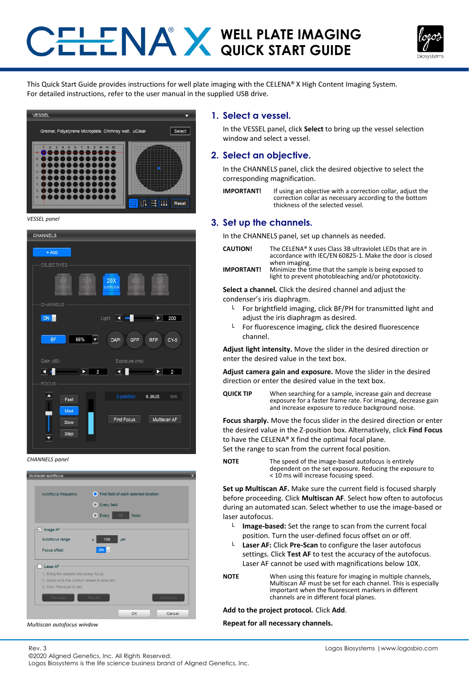# **WELL PLATE IMAGING QUICK START GUIDE**



This Quick Start Guide provides instructions for well plate imaging with the CELENA® X High Content Imaging System. For detailed instructions, refer to the user manual in the supplied USB drive.



*VESSEL panel*



*CHANNELS panel*



*Multiscan autofocus window*

Rev. 3

**1. Select a vessel.**

In the VESSEL panel, click **Select** to bring up the vessel selection window and select a vessel.

#### **2. Select an objective.**

In the CHANNELS panel, click the desired objective to select the corresponding magnification.

**IMPORTANT!** If using an objective with a correction collar, adjust the correction collar as necessary according to the bottom thickness of the selected vessel.

#### **3. Set up the channels.**

In the CHANNELS panel, set up channels as needed.

- **CAUTION!** The CELENA® X uses Class 3B ultraviolet LEDs that are in accordance with IEC/EN 60825-1. Make the door is closed when imaging. **IMPORTANT!** Minimize the time that the sample is being exposed to
	- light to prevent photobleaching and/or phototoxicity.

**Select a channel.** Click the desired channel and adjust the condenser's iris diaphragm.

- $L$  For brightfield imaging, click BF/PH for transmitted light and adjust the iris diaphragm as desired.
- $L$  For fluorescence imaging, click the desired fluorescence channel.

**Adjust light intensity.** Move the slider in the desired direction or enter the desired value in the text box.

**Adjust camera gain and exposure.** Move the slider in the desired direction or enter the desired value in the text box.

**QUICK TIP** When searching for a sample, increase gain and decrease exposure for a faster frame rate. For imaging, decrease gain and increase exposure to reduce background noise.

**Focus sharply.** Move the focus slider in the desired direction or enter the desired value in the Z-position box. Alternatively, click **Find Focus**  to have the CELENA® X find the optimal focal plane. Set the range to scan from the current focal position.

**NOTE** The speed of the image-based autofocus is entirely dependent on the set exposure. Reducing the exposure to < 10 ms will increase focusing speed.

**Set up Multiscan AF.** Make sure the current field is focused sharply before proceeding. Click **Multiscan AF**. Select how often to autofocus during an automated scan. Select whether to use the image-based or laser autofocus.

- └ **Image-based:** Set the range to scan from the current focal position. Turn the user-defined focus offset on or off.
- └ **Laser AF:** Click **Pre-Scan** to configure the laser autofocus settings. Click **Test AF** to test the accuracy of the autofocus. Laser AF cannot be used with magnifications below 10X.

**NOTE** When using this feature for imaging in multiple channels, Multiscan AF must be set for each channel. This is especially important when the fluorescent markers in different channels are in different focal planes.

**Add to the project protocol.** Click **Add**.

**Repeat for all necessary channels.**